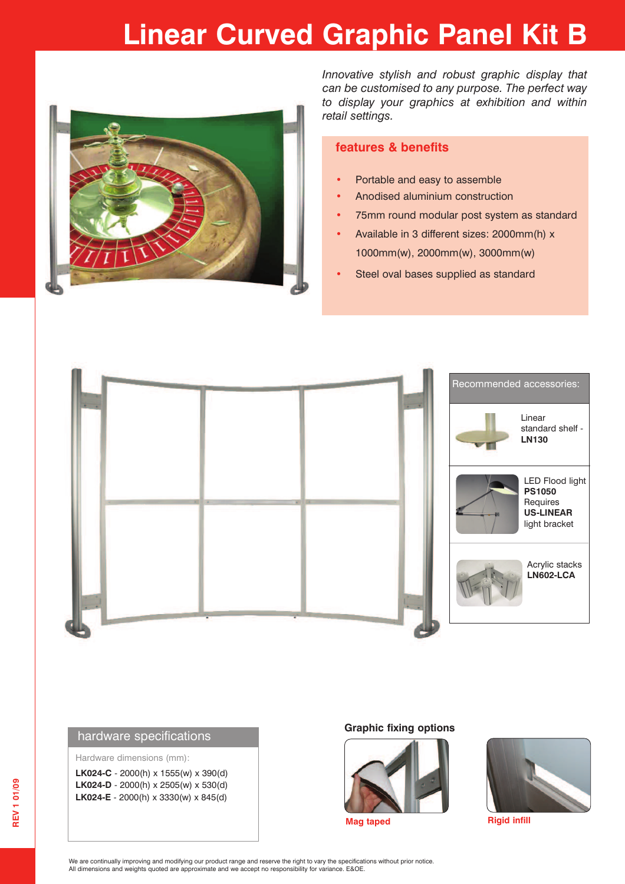### **Linear Curved Graphic Panel Kit B**



*Innovative stylish and robust graphic display that can be customised to any purpose. The perfect way to display your graphics at exhibition and within retail settings.*

#### **features & benefits**

- **•** Portable and easy to assemble
- **•** Anodised aluminium construction
- **•** 75mm round modular post system as standard
- **•** Available in 3 different sizes: 2000mm(h) x 1000mm(w), 2000mm(w), 3000mm(w)
- **•** Steel oval bases supplied as standard



#### hardware specifications

Hardware dimensions (mm):

**LK024-C** - 2000(h) x 1555(w) x 390(d) **LK024-D** - 2000(h) x 2505(w) x 530(d) **LK024-E** - 2000(h) x 3330(w) x 845(d)

#### **Graphic fixing options**





**Mag taped Rigid infill** 

We are continually improving and modifying our product range and reserve the right to vary the specifications without prior notice. All dimensions and weights quoted are approximate and we accept no responsibility for variance. E&OE.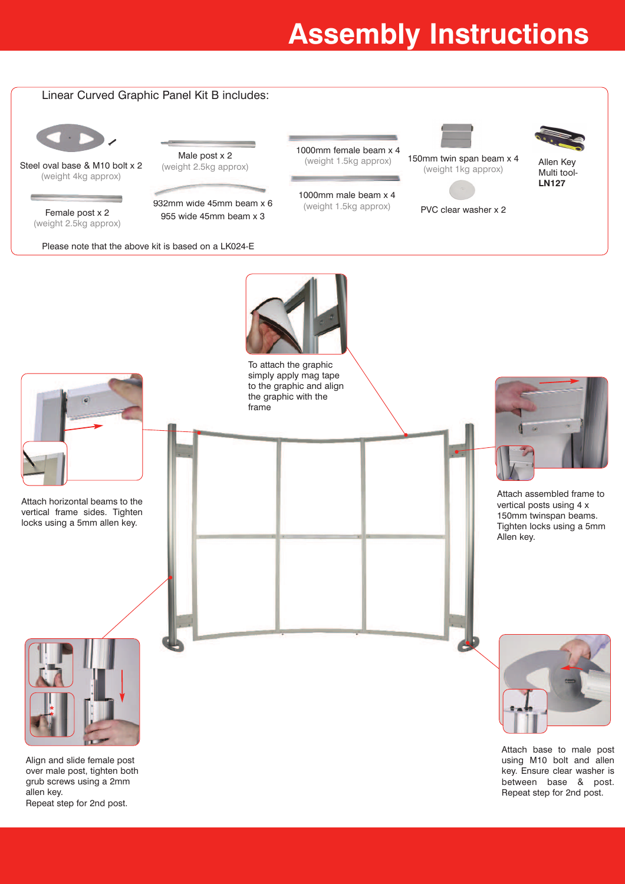## **Assembly Instructions**